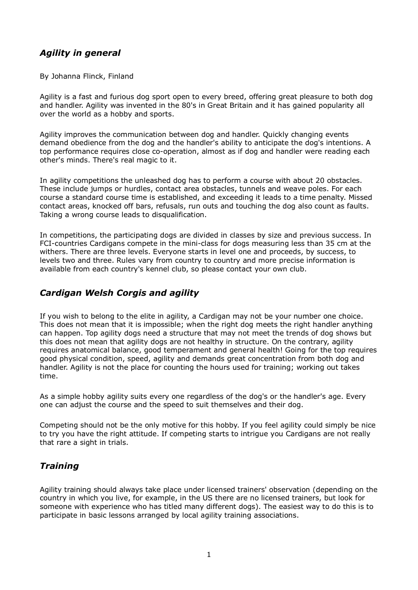# *Agility in general*

By Johanna Flinck, Finland

Agility is a fast and furious dog sport open to every breed, offering great pleasure to both dog and handler. Agility was invented in the 80's in Great Britain and it has gained popularity all over the world as a hobby and sports.

Agility improves the communication between dog and handler. Quickly changing events demand obedience from the dog and the handler's ability to anticipate the dog's intentions. A top performance requires close co-operation, almost as if dog and handler were reading each other's minds. There's real magic to it.

In agility competitions the unleashed dog has to perform a course with about 20 obstacles. These include jumps or hurdles, contact area obstacles, tunnels and weave poles. For each course a standard course time is established, and exceeding it leads to a time penalty. Missed contact areas, knocked off bars, refusals, run outs and touching the dog also count as faults. Taking a wrong course leads to disqualification.

In competitions, the participating dogs are divided in classes by size and previous success. In FCI-countries Cardigans compete in the mini-class for dogs measuring less than 35 cm at the withers. There are three levels. Everyone starts in level one and proceeds, by success, to levels two and three. Rules vary from country to country and more precise information is available from each country's kennel club, so please contact your own club.

## *Cardigan Welsh Corgis and agility*

If you wish to belong to the elite in agility, a Cardigan may not be your number one choice. This does not mean that it is impossible; when the right dog meets the right handler anything can happen. Top agility dogs need a structure that may not meet the trends of dog shows but this does not mean that agility dogs are not healthy in structure. On the contrary, agility requires anatomical balance, good temperament and general health! Going for the top requires good physical condition, speed, agility and demands great concentration from both dog and handler. Agility is not the place for counting the hours used for training; working out takes time.

As a simple hobby agility suits every one regardless of the dog's or the handler's age. Every one can adjust the course and the speed to suit themselves and their dog.

Competing should not be the only motive for this hobby. If you feel agility could simply be nice to try you have the right attitude. If competing starts to intrigue you Cardigans are not really that rare a sight in trials.

## *Training*

Agility training should always take place under licensed trainers' observation (depending on the country in which you live, for example, in the US there are no licensed trainers, but look for someone with experience who has titled many different dogs). The easiest way to do this is to participate in basic lessons arranged by local agility training associations.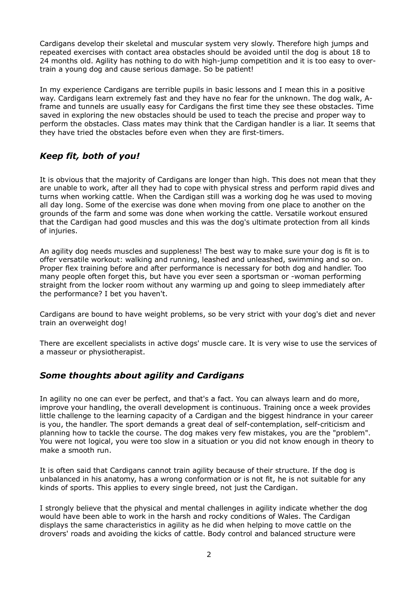Cardigans develop their skeletal and muscular system very slowly. Therefore high jumps and repeated exercises with contact area obstacles should be avoided until the dog is about 18 to 24 months old. Agility has nothing to do with high-jump competition and it is too easy to overtrain a young dog and cause serious damage. So be patient!

In my experience Cardigans are terrible pupils in basic lessons and I mean this in a positive way. Cardigans learn extremely fast and they have no fear for the unknown. The dog walk, Aframe and tunnels are usually easy for Cardigans the first time they see these obstacles. Time saved in exploring the new obstacles should be used to teach the precise and proper way to perform the obstacles. Class mates may think that the Cardigan handler is a liar. It seems that they have tried the obstacles before even when they are first-timers.

## *Keep fit, both of you!*

It is obvious that the majority of Cardigans are longer than high. This does not mean that they are unable to work, after all they had to cope with physical stress and perform rapid dives and turns when working cattle. When the Cardigan still was a working dog he was used to moving all day long. Some of the exercise was done when moving from one place to another on the grounds of the farm and some was done when working the cattle. Versatile workout ensured that the Cardigan had good muscles and this was the dog's ultimate protection from all kinds of injuries.

An agility dog needs muscles and suppleness! The best way to make sure your dog is fit is to offer versatile workout: walking and running, leashed and unleashed, swimming and so on. Proper flex training before and after performance is necessary for both dog and handler. Too many people often forget this, but have you ever seen a sportsman or -woman performing straight from the locker room without any warming up and going to sleep immediately after the performance? I bet you haven't.

Cardigans are bound to have weight problems, so be very strict with your dog's diet and never train an overweight dog!

There are excellent specialists in active dogs' muscle care. It is very wise to use the services of a masseur or physiotherapist.

#### *Some thoughts about agility and Cardigans*

In agility no one can ever be perfect, and that's a fact. You can always learn and do more, improve your handling, the overall development is continuous. Training once a week provides little challenge to the learning capacity of a Cardigan and the biggest hindrance in your career is you, the handler. The sport demands a great deal of self-contemplation, self-criticism and planning how to tackle the course. The dog makes very few mistakes, you are the "problem". You were not logical, you were too slow in a situation or you did not know enough in theory to make a smooth run.

It is often said that Cardigans cannot train agility because of their structure. If the dog is unbalanced in his anatomy, has a wrong conformation or is not fit, he is not suitable for any kinds of sports. This applies to every single breed, not just the Cardigan.

I strongly believe that the physical and mental challenges in agility indicate whether the dog would have been able to work in the harsh and rocky conditions of Wales. The Cardigan displays the same characteristics in agility as he did when helping to move cattle on the drovers' roads and avoiding the kicks of cattle. Body control and balanced structure were